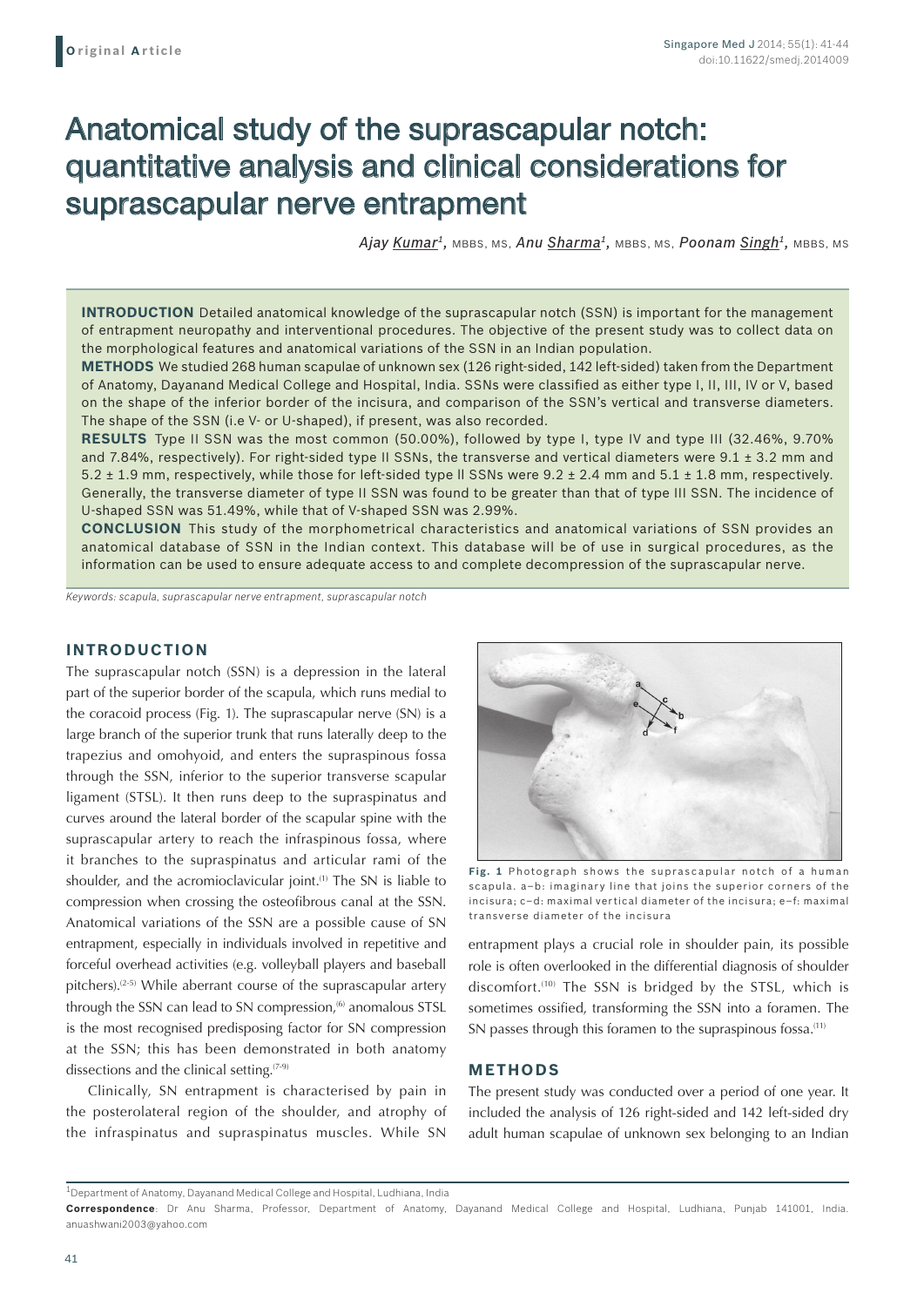# Anatomical study of the suprascapular notch: quantitative analysis and clinical considerations for suprascapular nerve entrapment

*Ajay Kumar1,* MBBS, MS, *Anu Sharma1,* MBBS, MS, *Poonam Singh1,* MBBS, MS

**INTRODUCTION** Detailed anatomical knowledge of the suprascapular notch (SSN) is important for the management of entrapment neuropathy and interventional procedures. The objective of the present study was to collect data on the morphological features and anatomical variations of the SSN in an Indian population.

**Methods** We studied 268 human scapulae of unknown sex (126 right-sided, 142 left-sided) taken from the Department of Anatomy, Dayanand Medical College and Hospital, India. SSNs were classified as either type I, II, III, IV or V, based on the shape of the inferior border of the incisura, and comparison of the SSN's vertical and transverse diameters. The shape of the SSN (i.e V- or U-shaped), if present, was also recorded.

**Results** Type II SSN was the most common (50.00%), followed by type I, type IV and type III (32.46%, 9.70% and 7.84%, respectively). For right-sided type II SSNs, the transverse and vertical diameters were  $9.1 \pm 3.2$  mm and 5.2 ± 1.9 mm, respectively, while those for left-sided type ll SSNs were 9.2 ± 2.4 mm and 5.1 ± 1.8 mm, respectively. Generally, the transverse diameter of type II SSN was found to be greater than that of type III SSN. The incidence of U-shaped SSN was 51.49%, while that of V-shaped SSN was 2.99%.

**Conclusion** This study of the morphometrical characteristics and anatomical variations of SSN provides an anatomical database of SSN in the Indian context. This database will be of use in surgical procedures, as the information can be used to ensure adequate access to and complete decompression of the suprascapular nerve.

*Keywords: scapula, suprascapular nerve entrapment, suprascapular notch*

# **INTRODUCTION**

The suprascapular notch (SSN) is a depression in the lateral part of the superior border of the scapula, which runs medial to the coracoid process (Fig. 1). The suprascapular nerve (SN) is a large branch of the superior trunk that runs laterally deep to the trapezius and omohyoid, and enters the supraspinous fossa through the SSN, inferior to the superior transverse scapular ligament (STSL). It then runs deep to the supraspinatus and curves around the lateral border of the scapular spine with the suprascapular artery to reach the infraspinous fossa, where it branches to the supraspinatus and articular rami of the shoulder, and the acromioclavicular joint.<sup>(1)</sup> The SN is liable to compression when crossing the osteofibrous canal at the SSN. Anatomical variations of the SSN are a possible cause of SN entrapment, especially in individuals involved in repetitive and forceful overhead activities (e.g. volleyball players and baseball pitchers).<sup>(2-5)</sup> While aberrant course of the suprascapular artery through the SSN can lead to SN compression,<sup>(6)</sup> anomalous STSL is the most recognised predisposing factor for SN compression at the SSN; this has been demonstrated in both anatomy dissections and the clinical setting.<sup>(7-9)</sup>

Clinically, SN entrapment is characterised by pain in the posterolateral region of the shoulder, and atrophy of the infraspinatus and supraspinatus muscles. While SN



**Fig. 1** Photograph shows the suprascapular notch of a human scapula. a–b: imaginary line that joins the superior corners of the incisura; c–d: maximal vertical diameter of the incisura; e–f: maximal transverse diameter of the incisura

entrapment plays a crucial role in shoulder pain, its possible role is often overlooked in the differential diagnosis of shoulder discomfort.<sup>(10)</sup> The SSN is bridged by the STSL, which is sometimes ossified, transforming the SSN into a foramen. The SN passes through this foramen to the supraspinous fossa.<sup>(11)</sup>

# **METHODS**

The present study was conducted over a period of one year. It included the analysis of 126 right-sided and 142 left-sided dry adult human scapulae of unknown sex belonging to an Indian

1Department of Anatomy, Dayanand Medical College and Hospital, Ludhiana, India

**Correspondence**: Dr Anu Sharma, Professor, Department of Anatomy, Dayanand Medical College and Hospital, Ludhiana, Punjab 141001, India. anuashwani2003@yahoo.com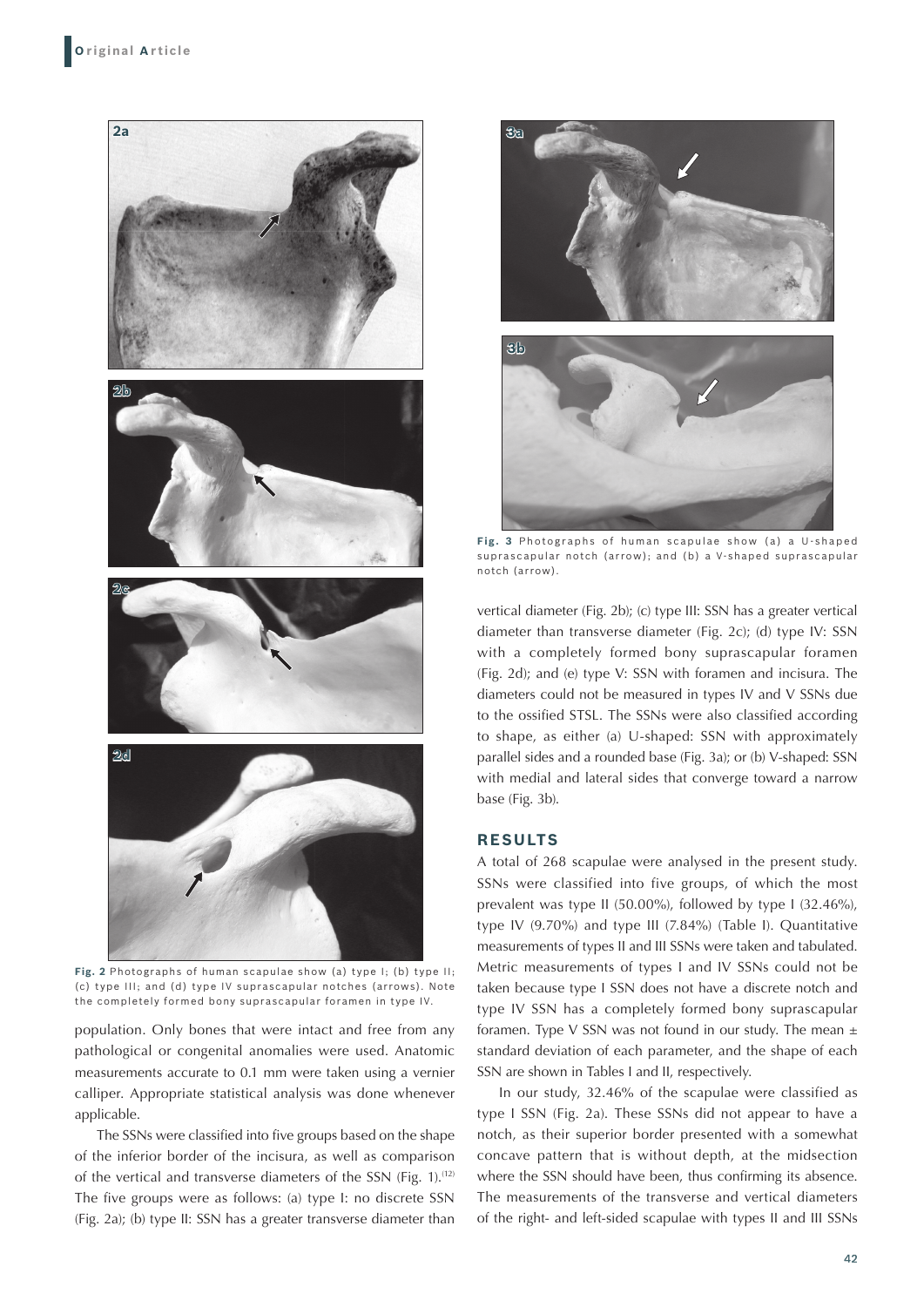

**Fig. 2** Photographs of human scapulae show (a) type I; (b) type II; (c) type III; and (d) type IV suprascapular notches (arrows). Note the completely formed bony suprascapular foramen in type IV.

population. Only bones that were intact and free from any pathological or congenital anomalies were used. Anatomic measurements accurate to 0.1 mm were taken using a vernier calliper. Appropriate statistical analysis was done whenever applicable.

The SSNs were classified into five groups based on the shape of the inferior border of the incisura, as well as comparison of the vertical and transverse diameters of the SSN (Fig. 1).(12) The five groups were as follows: (a) type I: no discrete SSN (Fig. 2a); (b) type II: SSN has a greater transverse diameter than



Fig. 3 Photographs of human scapulae show (a) a U-shaped suprascapular notch (arrow); and (b) a V-shaped suprascapular notch (arrow).

vertical diameter (Fig. 2b); (c) type III: SSN has a greater vertical diameter than transverse diameter (Fig. 2c); (d) type IV: SSN with a completely formed bony suprascapular foramen (Fig. 2d); and (e) type V: SSN with foramen and incisura. The diameters could not be measured in types IV and V SSNs due to the ossified STSL. The SSNs were also classified according to shape, as either (a) U-shaped: SSN with approximately parallel sides and a rounded base (Fig. 3a); or (b) V-shaped: SSN with medial and lateral sides that converge toward a narrow base (Fig. 3b).

# **RESULTS**

A total of 268 scapulae were analysed in the present study. SSNs were classified into five groups, of which the most prevalent was type II (50.00%), followed by type I (32.46%), type IV (9.70%) and type III (7.84%) (Table I). Quantitative measurements of types II and III SSNs were taken and tabulated. Metric measurements of types I and IV SSNs could not be taken because type I SSN does not have a discrete notch and type IV SSN has a completely formed bony suprascapular foramen. Type V SSN was not found in our study. The mean  $\pm$ standard deviation of each parameter, and the shape of each SSN are shown in Tables I and II, respectively.

In our study, 32.46% of the scapulae were classified as type I SSN (Fig. 2a). These SSNs did not appear to have a notch, as their superior border presented with a somewhat concave pattern that is without depth, at the midsection where the SSN should have been, thus confirming its absence. The measurements of the transverse and vertical diameters of the right- and left-sided scapulae with types II and III SSNs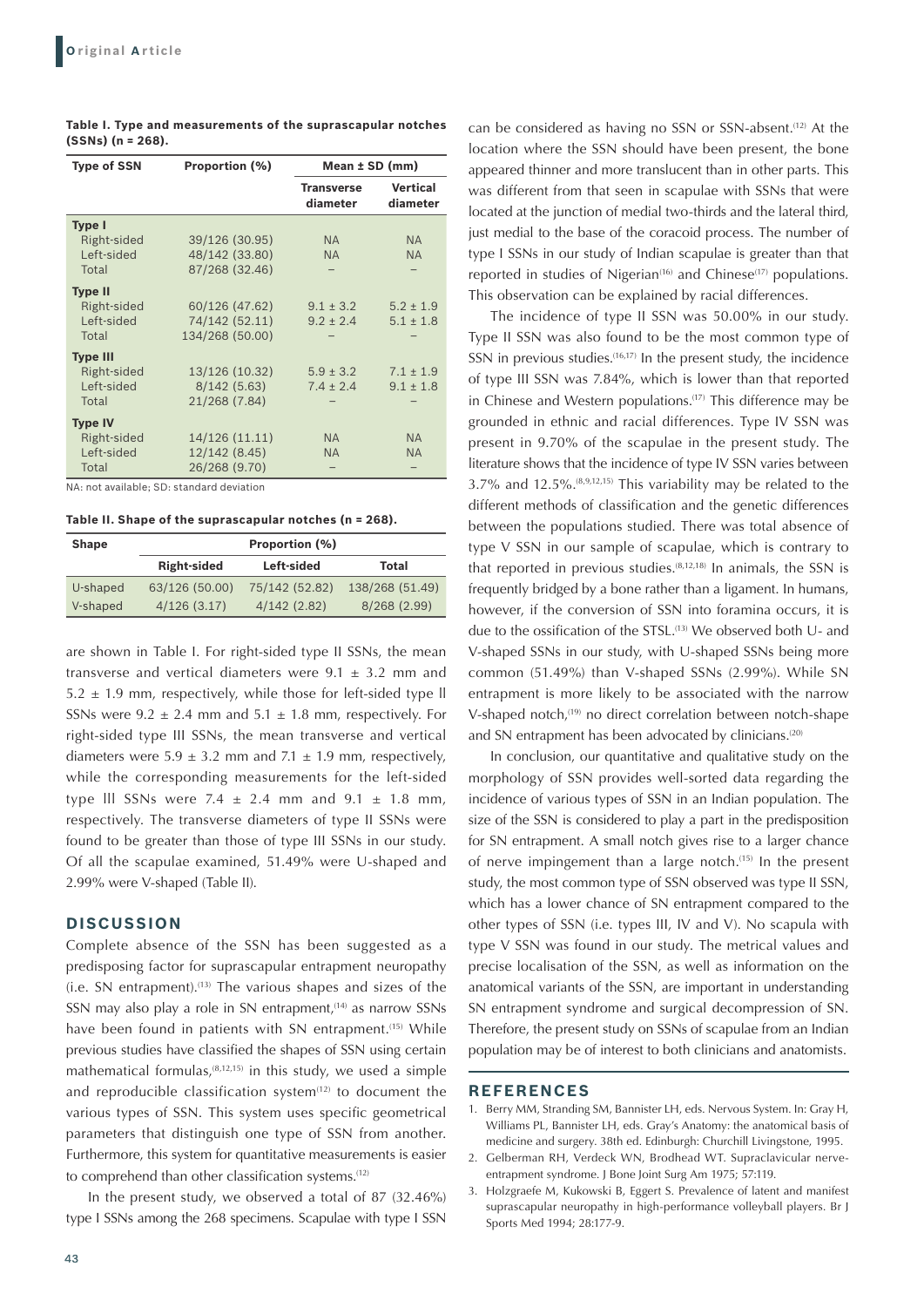| <b>Type of SSN</b> | Proportion (%)  | Mean $±$ SD (mm)              |                             |
|--------------------|-----------------|-------------------------------|-----------------------------|
|                    |                 | <b>Transverse</b><br>diameter | <b>Vertical</b><br>diameter |
| <b>Type I</b>      |                 |                               |                             |
| Right-sided        | 39/126 (30.95)  | <b>NA</b>                     | <b>NA</b>                   |
| Left-sided         | 48/142 (33.80)  | <b>NA</b>                     | <b>NA</b>                   |
| Total              | 87/268 (32.46)  |                               |                             |
| <b>Type II</b>     |                 |                               |                             |
| Right-sided        | 60/126 (47.62)  | $9.1 \pm 3.2$                 | $5.2 \pm 1.9$               |
| Left-sided         | 74/142 (52.11)  | $9.2 \pm 2.4$                 | $5.1 \pm 1.8$               |
| Total              | 134/268 (50.00) |                               |                             |
| <b>Type III</b>    |                 |                               |                             |
| Right-sided        | 13/126 (10.32)  | $5.9 \pm 3.2$                 | $7.1 \pm 1.9$               |
| Left-sided         | 8/142(5.63)     | $7.4 \pm 2.4$                 | $9.1 \pm 1.8$               |
| Total              | 21/268 (7.84)   |                               |                             |
| <b>Type IV</b>     |                 |                               |                             |
| Right-sided        | 14/126 (11.11)  | <b>NA</b>                     | <b>NA</b>                   |
| Left-sided         | 12/142 (8.45)   | <b>NA</b>                     | <b>NA</b>                   |
| Total              | 26/268 (9.70)   |                               |                             |

**Table I. Type and measurements of the suprascapular notches (SSNs) (n = 268).**

NA: not available; SD: standard deviation

**Table II. Shape of the suprascapular notches (n = 268).**

| <b>Shape</b> | Proportion (%)     |                |                 |  |
|--------------|--------------------|----------------|-----------------|--|
|              | <b>Right-sided</b> | Left-sided     | Total           |  |
| U-shaped     | 63/126 (50.00)     | 75/142 (52.82) | 138/268 (51.49) |  |
| V-shaped     | 4/126(3.17)        | 4/142(2.82)    | 8/268 (2.99)    |  |

are shown in Table I. For right-sided type II SSNs, the mean transverse and vertical diameters were  $9.1 \pm 3.2$  mm and  $5.2 \pm 1.9$  mm, respectively, while those for left-sided type II SSNs were  $9.2 \pm 2.4$  mm and  $5.1 \pm 1.8$  mm, respectively. For right-sided type III SSNs, the mean transverse and vertical diameters were  $5.9 \pm 3.2$  mm and  $7.1 \pm 1.9$  mm, respectively, while the corresponding measurements for the left-sided type III SSNs were 7.4  $\pm$  2.4 mm and 9.1  $\pm$  1.8 mm, respectively. The transverse diameters of type II SSNs were found to be greater than those of type III SSNs in our study. Of all the scapulae examined, 51.49% were U-shaped and 2.99% were V-shaped (Table II).

### **DISCUSSION**

Complete absence of the SSN has been suggested as a predisposing factor for suprascapular entrapment neuropathy  $(i.e. SN entrapment).$ <sup> $(13)$ </sup> The various shapes and sizes of the SSN may also play a role in SN entrapment,<sup>(14)</sup> as narrow SSNs have been found in patients with SN entrapment.<sup>(15)</sup> While previous studies have classified the shapes of SSN using certain mathematical formulas, $(8,12,15)$  in this study, we used a simple and reproducible classification system $(12)$  to document the various types of SSN. This system uses specific geometrical parameters that distinguish one type of SSN from another. Furthermore, this system for quantitative measurements is easier to comprehend than other classification systems.<sup>(12)</sup>

In the present study, we observed a total of 87 (32.46%) type I SSNs among the 268 specimens. Scapulae with type I SSN can be considered as having no SSN or SSN-absent.<sup>(12)</sup> At the location where the SSN should have been present, the bone appeared thinner and more translucent than in other parts. This was different from that seen in scapulae with SSNs that were located at the junction of medial two-thirds and the lateral third, just medial to the base of the coracoid process. The number of type I SSNs in our study of Indian scapulae is greater than that reported in studies of Nigerian<sup>(16)</sup> and Chinese<sup>(17)</sup> populations. This observation can be explained by racial differences.

The incidence of type II SSN was 50.00% in our study. Type II SSN was also found to be the most common type of SSN in previous studies.<sup>(16,17)</sup> In the present study, the incidence of type III SSN was 7.84%, which is lower than that reported in Chinese and Western populations.<sup>(17)</sup> This difference may be grounded in ethnic and racial differences. Type IV SSN was present in 9.70% of the scapulae in the present study. The literature shows that the incidence of type IV SSN varies between 3.7% and 12.5%.(8,9,12,15) This variability may be related to the different methods of classification and the genetic differences between the populations studied. There was total absence of type V SSN in our sample of scapulae, which is contrary to that reported in previous studies. $(8,12,18)$  In animals, the SSN is frequently bridged by a bone rather than a ligament. In humans, however, if the conversion of SSN into foramina occurs, it is due to the ossification of the STSL.<sup>(13)</sup> We observed both U- and V-shaped SSNs in our study, with U-shaped SSNs being more common (51.49%) than V-shaped SSNs (2.99%). While SN entrapment is more likely to be associated with the narrow V-shaped notch.<sup>(19)</sup> no direct correlation between notch-shape and SN entrapment has been advocated by clinicians.<sup>(20)</sup>

In conclusion, our quantitative and qualitative study on the morphology of SSN provides well-sorted data regarding the incidence of various types of SSN in an Indian population. The size of the SSN is considered to play a part in the predisposition for SN entrapment. A small notch gives rise to a larger chance of nerve impingement than a large notch.(15) In the present study, the most common type of SSN observed was type II SSN, which has a lower chance of SN entrapment compared to the other types of SSN (i.e. types III, IV and V). No scapula with type V SSN was found in our study. The metrical values and precise localisation of the SSN, as well as information on the anatomical variants of the SSN, are important in understanding SN entrapment syndrome and surgical decompression of SN. Therefore, the present study on SSNs of scapulae from an Indian population may be of interest to both clinicians and anatomists.

#### **REFERENCES**

- 1. Berry MM, Stranding SM, Bannister LH, eds. Nervous System. In: Gray H, Williams PL, Bannister LH, eds. Gray's Anatomy: the anatomical basis of medicine and surgery. 38th ed. Edinburgh: Churchill Livingstone, 1995.
- 2. Gelberman RH, Verdeck WN, Brodhead WT. Supraclavicular nerveentrapment syndrome. J Bone Joint Surg Am 1975; 57:119.
- 3. Holzgraefe M, Kukowski B, Eggert S. Prevalence of latent and manifest suprascapular neuropathy in high-performance volleyball players. Br J Sports Med 1994; 28:177-9.